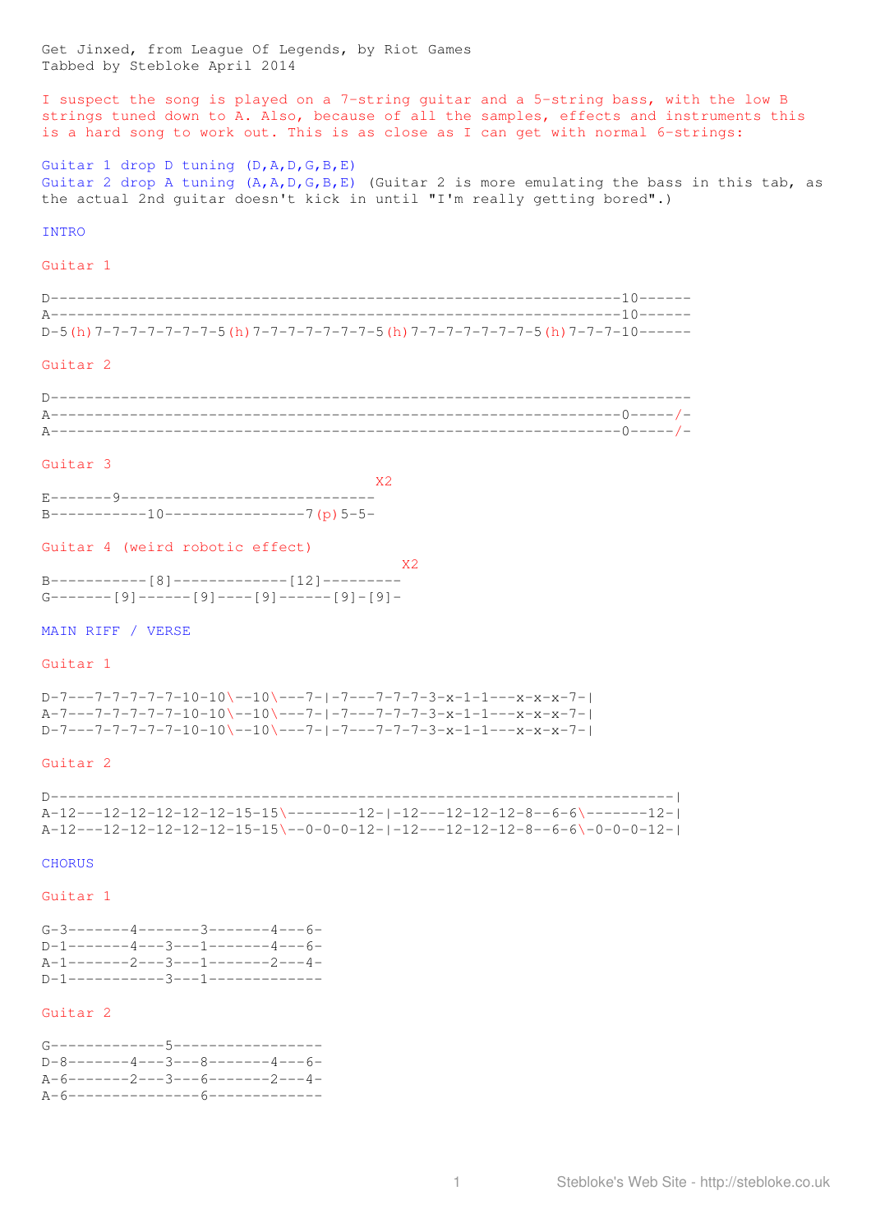Get Jinxed, from League Of Legends, by Riot Games Tabbed by Stebloke April 2014

I suspect the song is played on a 7-string guitar and a 5-string bass, with the low B strings tuned down to A. Also, because of all the samples, effects and instruments this is a hard song to work out. This is as close as I can get with normal 6-strings:

Guitar 1 drop D tuning (D,A,D,G,B,E) Guitar 2 drop A tuning  $(A, A, D, G, B, E)$  (Guitar 2 is more emulating the bass in this tab, as the actual 2nd guitar doesn't kick in until "I'm really getting bored".)

# INTRO

### Guitar 1

| D-5 (h) 7-7-7-7-7-7-7-5 (h) 7-7-7-7-7-7-7-7-5 (h) 7-7-7-7-7-7-7-7-5 (h) 7-7-7-10----- |  |
|---------------------------------------------------------------------------------------|--|

## Guitar 2

#### Guitar 3

 $B$ -----------10----------------7(p)5-5-

#### Guitar 4 (weird robotic effect)

| X <sub>2</sub> |
|----------------|
|                |
|                |

## MAIN RIFF / VERSE

# Guitar 1

D-7---7-7-7-7-7-10-10\--10\---7-|-7---7-7-7-3-x-1-1---x-x-x-7-| A-7---7-7-7-7-7-10-10\--10\---7-|-7---7-7-7-3-x-1-1---x-x-x-7-| D-7---7-7-7-7-7-10-10\--10\---7-|-7---7-7-7-3-x-1-1---x-x-x-7-|

### Guitar 2

| -------------------------------------<br>D------------------------------------ |
|--------------------------------------------------------------------------------|
| A-12---12-12-12-12-12-15\---------12-1-12---12-12-12-8--6-6\--------12-1       |
| A-12---12-12-12-12-12-15-15\--0-0-0-12-1-12---12-12-12-8--6-6\-0-0-0-12-1      |

# **CHORUS**

# Guitar 1

| $G-3$ -------4-------3-------4---6- |  |  |  |
|-------------------------------------|--|--|--|
| $D-1$ -------4---3---1-------4---6- |  |  |  |
| $A-1$ -------2---3---1-------2---4- |  |  |  |
| D-1-----------3---1-------------    |  |  |  |

# Guitar 2

| G-------------5------------------   |  |  |  |
|-------------------------------------|--|--|--|
| $D-8$ -------4---3---8-------4---6- |  |  |  |
| $A-6------2---3---6------2---4-$    |  |  |  |
| A-6----------------6--------------  |  |  |  |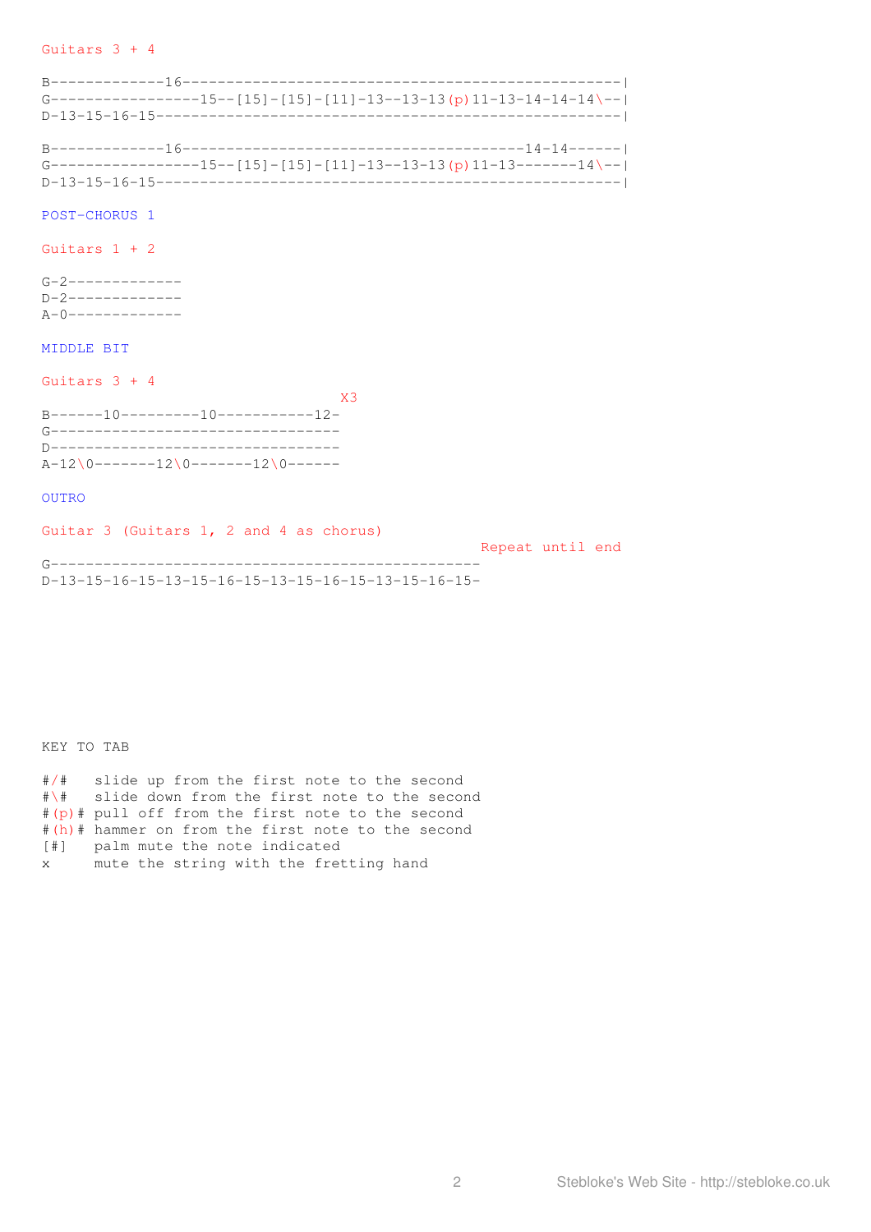### Guitars 3 + 4

|                                                                   |                                                                           | $G$ -----------------15--[15]-[15]-[11]-13--13-13(p)11-13-14-14-14\--  |  |
|-------------------------------------------------------------------|---------------------------------------------------------------------------|------------------------------------------------------------------------|--|
|                                                                   |                                                                           | G-----------------15--[15]-[15]-[11]-13--13-13 (p) 11-13--------14 \-- |  |
| POST-CHORUS 1                                                     |                                                                           |                                                                        |  |
| Guitars $1 + 2$                                                   |                                                                           |                                                                        |  |
| $G-2$ -------------<br>$D-2$ -------------<br>$A-0$ ------------- |                                                                           |                                                                        |  |
| MIDDLE BIT                                                        |                                                                           |                                                                        |  |
| Guitars $3 + 4$                                                   |                                                                           | X <sub>3</sub>                                                         |  |
|                                                                   | B------10---------10------------12-<br>G--------------------------------- |                                                                        |  |

D---------------------------------  $A-12\0-----12\0------12\0---$ 

OUTRO

Guitar 3 (Guitars 1, 2 and 4 as chorus) Repeat until end G------------------------------------------------- D-13-15-16-15-13-15-16-15-13-15-16-15-13-15-16-15-

KEY TO TAB

#/# slide up from the first note to the second #\# slide down from the first note to the second #(p)# pull off from the first note to the second #(h)# hammer on from the first note to the second [#] palm mute the note indicated x mute the string with the fretting hand